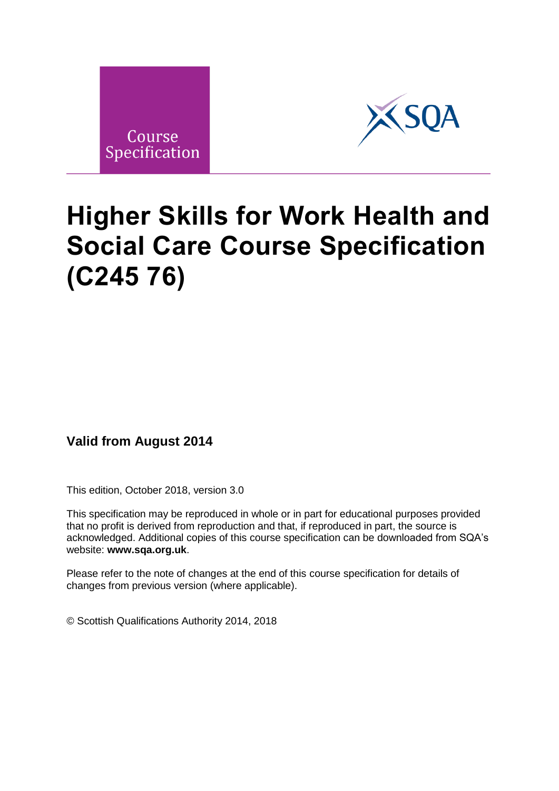



# **Higher Skills for Work Health and Social Care Course Specification (C245 76)**

## **Valid from August 2014**

This edition, October 2018, version 3.0

This specification may be reproduced in whole or in part for educational purposes provided that no profit is derived from reproduction and that, if reproduced in part, the source is acknowledged. Additional copies of this course specification can be downloaded from SQA's website: **[www.sqa.org.uk](http://www.sqa.org.uk/)**.

Please refer to the note of changes at the end of this course specification for details of changes from previous version (where applicable).

© Scottish Qualifications Authority 2014, 2018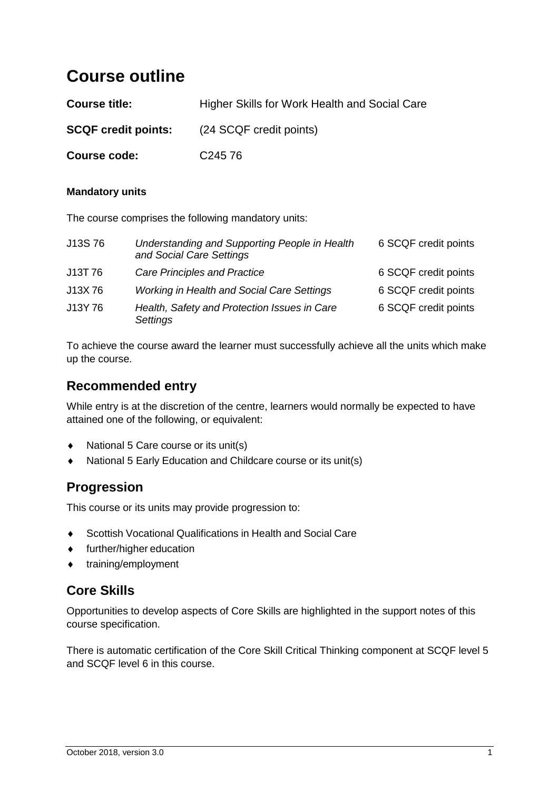## **Course outline**

| <b>Course title:</b>       | Higher Skills for Work Health and Social Care |
|----------------------------|-----------------------------------------------|
| <b>SCQF credit points:</b> | (24 SCQF credit points)                       |
| Course code:               | C <sub>245</sub> 76                           |

#### **Mandatory units**

The course comprises the following mandatory units:

| J13S76  | Understanding and Supporting People in Health<br>and Social Care Settings | 6 SCQF credit points |
|---------|---------------------------------------------------------------------------|----------------------|
| J13T 76 | <b>Care Principles and Practice</b>                                       | 6 SCQF credit points |
| J13X76  | Working in Health and Social Care Settings                                | 6 SCQF credit points |
| J13Y76  | Health, Safety and Protection Issues in Care<br>Settings                  | 6 SCQF credit points |

To achieve the course award the learner must successfully achieve all the units which make up the course.

### **Recommended entry**

While entry is at the discretion of the centre, learners would normally be expected to have attained one of the following, or equivalent:

- National 5 Care course or its unit(s)
- National 5 Early Education and Childcare course or its unit(s)

## **Progression**

This course or its units may provide progression to:

- ◆ Scottish Vocational Qualifications in Health and Social Care
- further/higher education
- training/employment

## **Core Skills**

Opportunities to develop aspects of Core Skills are highlighted in the support notes of this course specification.

There is automatic certification of the Core Skill Critical Thinking component at SCQF level 5 and SCQF level 6 in this course.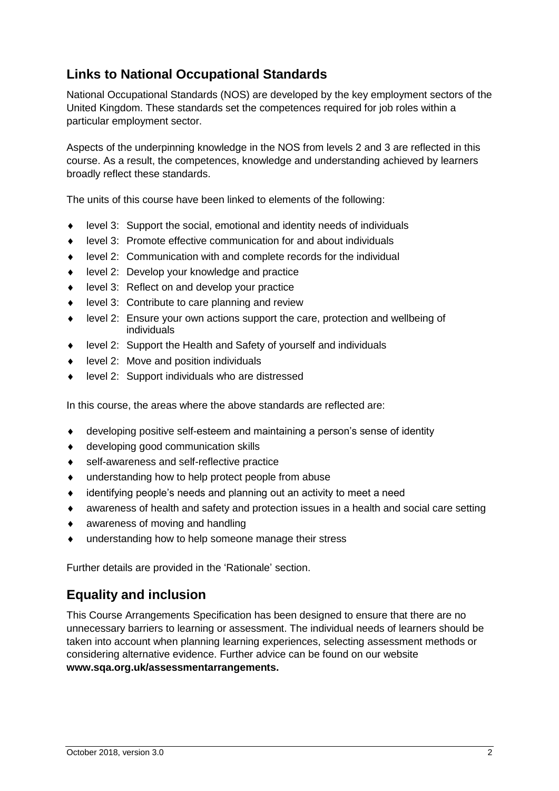## **Links to National Occupational Standards**

National Occupational Standards (NOS) are developed by the key employment sectors of the United Kingdom. These standards set the competences required for job roles within a particular employment sector.

Aspects of the underpinning knowledge in the NOS from levels 2 and 3 are reflected in this course. As a result, the competences, knowledge and understanding achieved by learners broadly reflect these standards.

The units of this course have been linked to elements of the following:

- level 3: Support the social, emotional and identity needs of individuals
- level 3: Promote effective communication for and about individuals
- level 2: Communication with and complete records for the individual
- ◆ level 2: Develop your knowledge and practice
- level 3: Reflect on and develop your practice
- ◆ level 3: Contribute to care planning and review
- level 2: Ensure your own actions support the care, protection and wellbeing of individuals
- level 2: Support the Health and Safety of yourself and individuals
- ◆ level 2: Move and position individuals
- level 2: Support individuals who are distressed

In this course, the areas where the above standards are reflected are:

- developing positive self-esteem and maintaining a person's sense of identity
- developing good communication skills
- self-awareness and self-reflective practice
- understanding how to help protect people from abuse
- identifying people's needs and planning out an activity to meet a need
- awareness of health and safety and protection issues in a health and social care setting
- awareness of moving and handling
- understanding how to help someone manage their stress

Further details are provided in the 'Rationale' section.

## **Equality and inclusion**

This Course Arrangements Specification has been designed to ensure that there are no unnecessary barriers to learning or assessment. The individual needs of learners should be taken into account when planning learning experiences, selecting assessment methods or considering alternative evidence. Further advice can be found on our website **www.sqa.org.uk/assessmentarrangements.**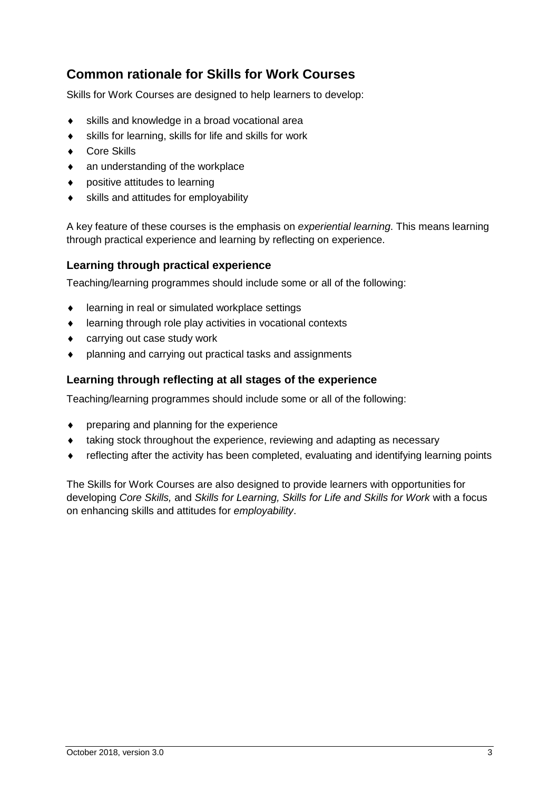## **Common rationale for Skills for Work Courses**

Skills for Work Courses are designed to help learners to develop:

- skills and knowledge in a broad vocational area
- skills for learning, skills for life and skills for work
- ◆ Core Skills
- an understanding of the workplace
- positive attitudes to learning
- skills and attitudes for employability

A key feature of these courses is the emphasis on *experiential learning*. This means learning through practical experience and learning by reflecting on experience.

#### **Learning through practical experience**

Teaching/learning programmes should include some or all of the following:

- ♦ learning in real or simulated workplace settings
- learning through role play activities in vocational contexts
- carrying out case study work
- planning and carrying out practical tasks and assignments

#### **Learning through reflecting at all stages of the experience**

Teaching/learning programmes should include some or all of the following:

- preparing and planning for the experience
- taking stock throughout the experience, reviewing and adapting as necessary
- reflecting after the activity has been completed, evaluating and identifying learning points

The Skills for Work Courses are also designed to provide learners with opportunities for developing *Core Skills,* and *Skills for Learning, Skills for Life and Skills for Work* with a focus on enhancing skills and attitudes for *employability*.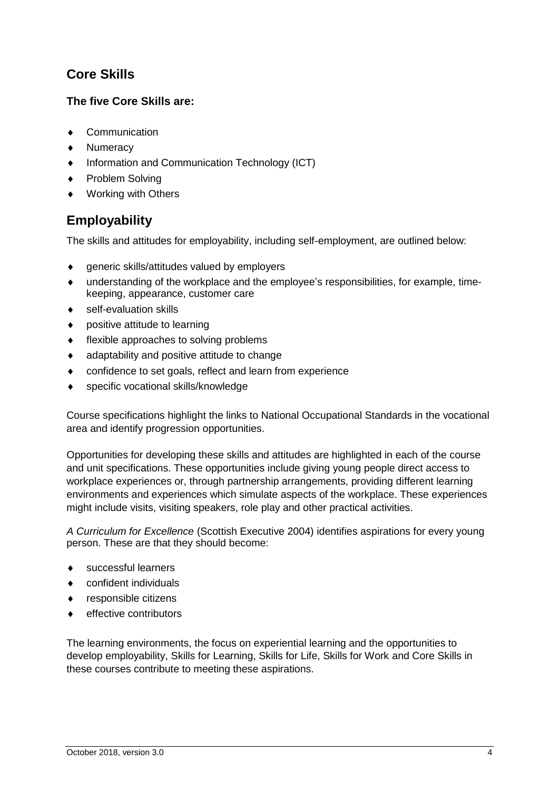## **Core Skills**

#### **The five Core Skills are:**

- Communication
- Numeracy
- ◆ Information and Communication Technology (ICT)
- ◆ Problem Solving
- Working with Others

## **Employability**

The skills and attitudes for employability, including self-employment, are outlined below:

- generic skills/attitudes valued by employers
- understanding of the workplace and the employee's responsibilities, for example, timekeeping, appearance, customer care
- self-evaluation skills
- ◆ positive attitude to learning
- flexible approaches to solving problems
- adaptability and positive attitude to change
- confidence to set goals, reflect and learn from experience
- specific vocational skills/knowledge

Course specifications highlight the links to National Occupational Standards in the vocational area and identify progression opportunities.

Opportunities for developing these skills and attitudes are highlighted in each of the course and unit specifications. These opportunities include giving young people direct access to workplace experiences or, through partnership arrangements, providing different learning environments and experiences which simulate aspects of the workplace. These experiences might include visits, visiting speakers, role play and other practical activities.

*A Curriculum for Excellence* (Scottish Executive 2004) identifies aspirations for every young person. These are that they should become:

- ◆ successful learners
- confident individuals
- ◆ responsible citizens
- effective contributors

The learning environments, the focus on experiential learning and the opportunities to develop employability, Skills for Learning, Skills for Life, Skills for Work and Core Skills in these courses contribute to meeting these aspirations.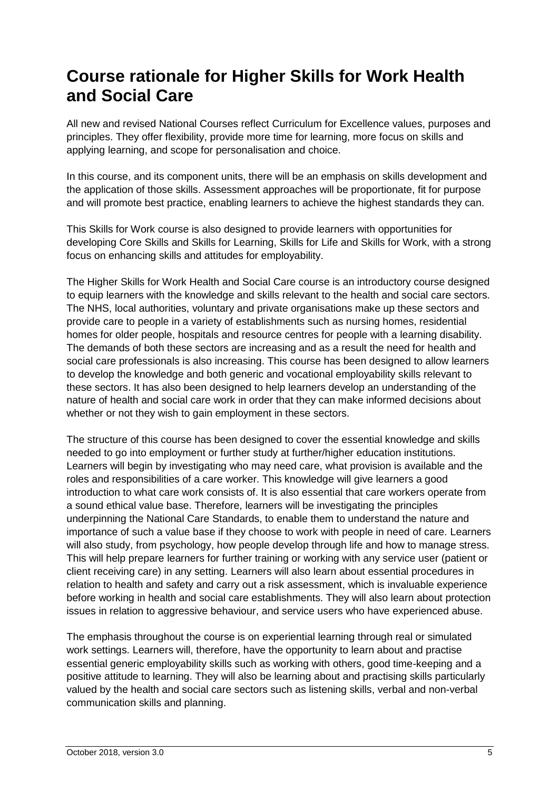## **Course rationale for Higher Skills for Work Health and Social Care**

All new and revised National Courses reflect Curriculum for Excellence values, purposes and principles. They offer flexibility, provide more time for learning, more focus on skills and applying learning, and scope for personalisation and choice.

In this course, and its component units, there will be an emphasis on skills development and the application of those skills. Assessment approaches will be proportionate, fit for purpose and will promote best practice, enabling learners to achieve the highest standards they can.

This Skills for Work course is also designed to provide learners with opportunities for developing Core Skills and Skills for Learning, Skills for Life and Skills for Work, with a strong focus on enhancing skills and attitudes for employability.

The Higher Skills for Work Health and Social Care course is an introductory course designed to equip learners with the knowledge and skills relevant to the health and social care sectors. The NHS, local authorities, voluntary and private organisations make up these sectors and provide care to people in a variety of establishments such as nursing homes, residential homes for older people, hospitals and resource centres for people with a learning disability. The demands of both these sectors are increasing and as a result the need for health and social care professionals is also increasing. This course has been designed to allow learners to develop the knowledge and both generic and vocational employability skills relevant to these sectors. It has also been designed to help learners develop an understanding of the nature of health and social care work in order that they can make informed decisions about whether or not they wish to gain employment in these sectors.

The structure of this course has been designed to cover the essential knowledge and skills needed to go into employment or further study at further/higher education institutions. Learners will begin by investigating who may need care, what provision is available and the roles and responsibilities of a care worker. This knowledge will give learners a good introduction to what care work consists of. It is also essential that care workers operate from a sound ethical value base. Therefore, learners will be investigating the principles underpinning the National Care Standards, to enable them to understand the nature and importance of such a value base if they choose to work with people in need of care. Learners will also study, from psychology, how people develop through life and how to manage stress. This will help prepare learners for further training or working with any service user (patient or client receiving care) in any setting. Learners will also learn about essential procedures in relation to health and safety and carry out a risk assessment, which is invaluable experience before working in health and social care establishments. They will also learn about protection issues in relation to aggressive behaviour, and service users who have experienced abuse.

The emphasis throughout the course is on experiential learning through real or simulated work settings. Learners will, therefore, have the opportunity to learn about and practise essential generic employability skills such as working with others, good time-keeping and a positive attitude to learning. They will also be learning about and practising skills particularly valued by the health and social care sectors such as listening skills, verbal and non-verbal communication skills and planning.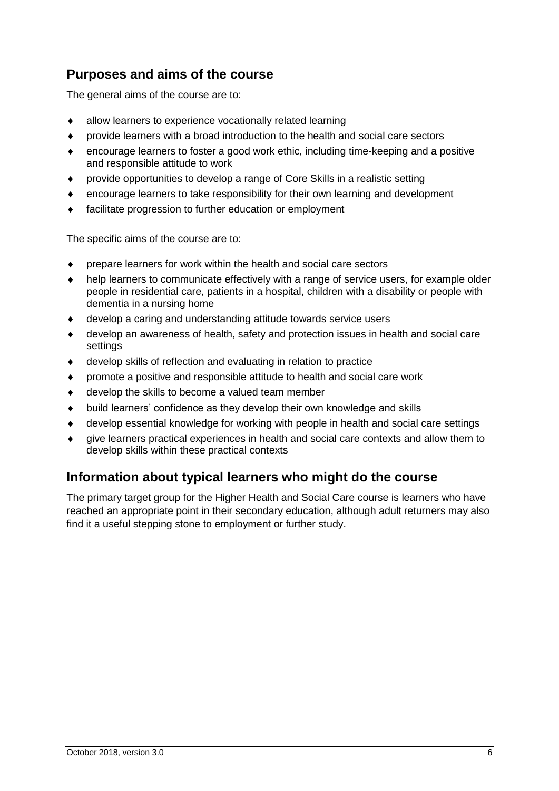## **Purposes and aims of the course**

The general aims of the course are to:

- allow learners to experience vocationally related learning
- provide learners with a broad introduction to the health and social care sectors
- encourage learners to foster a good work ethic, including time-keeping and a positive and responsible attitude to work
- provide opportunities to develop a range of Core Skills in a realistic setting
- encourage learners to take responsibility for their own learning and development
- facilitate progression to further education or employment

The specific aims of the course are to:

- prepare learners for work within the health and social care sectors
- help learners to communicate effectively with a range of service users, for example older people in residential care, patients in a hospital, children with a disability or people with dementia in a nursing home
- develop a caring and understanding attitude towards service users
- develop an awareness of health, safety and protection issues in health and social care settings
- develop skills of reflection and evaluating in relation to practice
- promote a positive and responsible attitude to health and social care work
- ◆ develop the skills to become a valued team member
- build learners' confidence as they develop their own knowledge and skills
- develop essential knowledge for working with people in health and social care settings
- give learners practical experiences in health and social care contexts and allow them to develop skills within these practical contexts

## **Information about typical learners who might do the course**

The primary target group for the Higher Health and Social Care course is learners who have reached an appropriate point in their secondary education, although adult returners may also find it a useful stepping stone to employment or further study.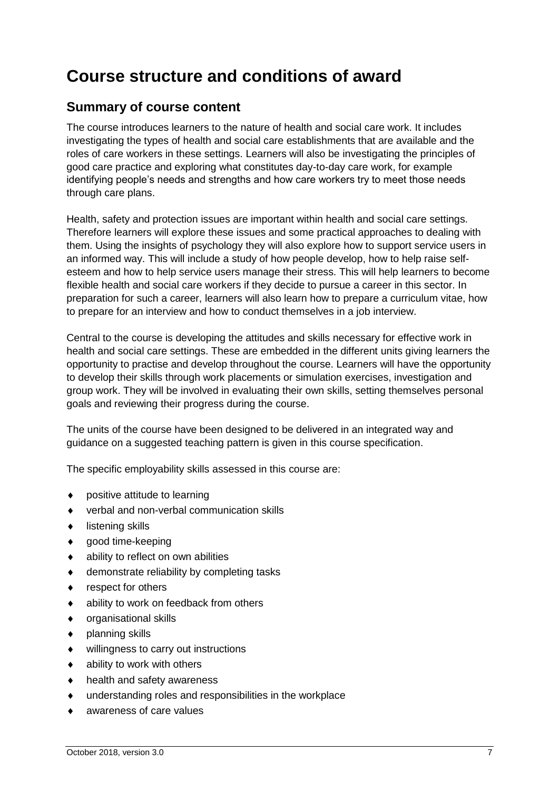## **Course structure and conditions of award**

## **Summary of course content**

The course introduces learners to the nature of health and social care work. It includes investigating the types of health and social care establishments that are available and the roles of care workers in these settings. Learners will also be investigating the principles of good care practice and exploring what constitutes day-to-day care work, for example identifying people's needs and strengths and how care workers try to meet those needs through care plans.

Health, safety and protection issues are important within health and social care settings. Therefore learners will explore these issues and some practical approaches to dealing with them. Using the insights of psychology they will also explore how to support service users in an informed way. This will include a study of how people develop, how to help raise selfesteem and how to help service users manage their stress. This will help learners to become flexible health and social care workers if they decide to pursue a career in this sector. In preparation for such a career, learners will also learn how to prepare a curriculum vitae, how to prepare for an interview and how to conduct themselves in a job interview.

Central to the course is developing the attitudes and skills necessary for effective work in health and social care settings. These are embedded in the different units giving learners the opportunity to practise and develop throughout the course. Learners will have the opportunity to develop their skills through work placements or simulation exercises, investigation and group work. They will be involved in evaluating their own skills, setting themselves personal goals and reviewing their progress during the course.

The units of the course have been designed to be delivered in an integrated way and guidance on a suggested teaching pattern is given in this course specification.

The specific employability skills assessed in this course are:

- positive attitude to learning
- verbal and non-verbal communication skills
- $\bullet$  listening skills
- ◆ good time-keeping
- ability to reflect on own abilities
- ◆ demonstrate reliability by completing tasks
- respect for others
- ◆ ability to work on feedback from others
- organisational skills
- ◆ planning skills
- willingness to carry out instructions
- ability to work with others
- ◆ health and safety awareness
- understanding roles and responsibilities in the workplace
- awareness of care values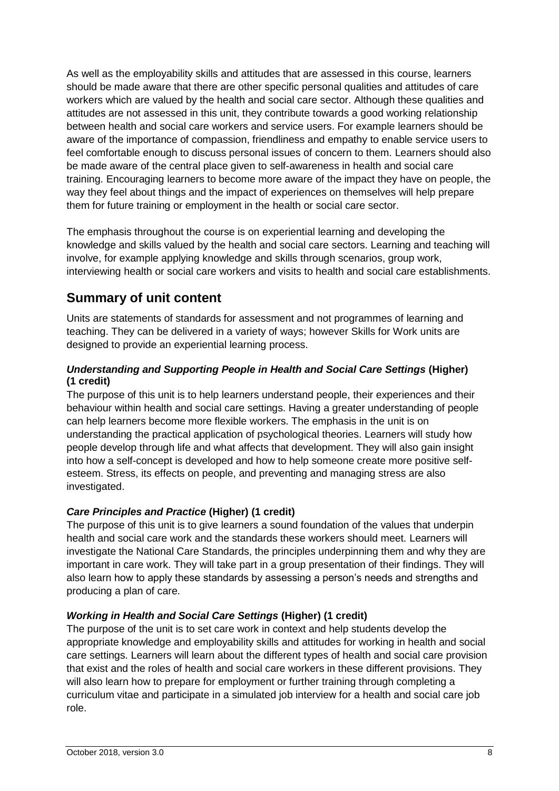As well as the employability skills and attitudes that are assessed in this course, learners should be made aware that there are other specific personal qualities and attitudes of care workers which are valued by the health and social care sector. Although these qualities and attitudes are not assessed in this unit, they contribute towards a good working relationship between health and social care workers and service users. For example learners should be aware of the importance of compassion, friendliness and empathy to enable service users to feel comfortable enough to discuss personal issues of concern to them. Learners should also be made aware of the central place given to self-awareness in health and social care training. Encouraging learners to become more aware of the impact they have on people, the way they feel about things and the impact of experiences on themselves will help prepare them for future training or employment in the health or social care sector.

The emphasis throughout the course is on experiential learning and developing the knowledge and skills valued by the health and social care sectors. Learning and teaching will involve, for example applying knowledge and skills through scenarios, group work, interviewing health or social care workers and visits to health and social care establishments.

## **Summary of unit content**

Units are statements of standards for assessment and not programmes of learning and teaching. They can be delivered in a variety of ways; however Skills for Work units are designed to provide an experiential learning process.

#### *Understanding and Supporting People in Health and Social Care Settings* **(Higher) (1 credit)**

The purpose of this unit is to help learners understand people, their experiences and their behaviour within health and social care settings. Having a greater understanding of people can help learners become more flexible workers. The emphasis in the unit is on understanding the practical application of psychological theories. Learners will study how people develop through life and what affects that development. They will also gain insight into how a self-concept is developed and how to help someone create more positive selfesteem. Stress, its effects on people, and preventing and managing stress are also investigated.

#### *Care Principles and Practice* **(Higher) (1 credit)**

The purpose of this unit is to give learners a sound foundation of the values that underpin health and social care work and the standards these workers should meet. Learners will investigate the National Care Standards, the principles underpinning them and why they are important in care work. They will take part in a group presentation of their findings. They will also learn how to apply these standards by assessing a person's needs and strengths and producing a plan of care.

#### *Working in Health and Social Care Settings* **(Higher) (1 credit)**

The purpose of the unit is to set care work in context and help students develop the appropriate knowledge and employability skills and attitudes for working in health and social care settings. Learners will learn about the different types of health and social care provision that exist and the roles of health and social care workers in these different provisions. They will also learn how to prepare for employment or further training through completing a curriculum vitae and participate in a simulated job interview for a health and social care job role.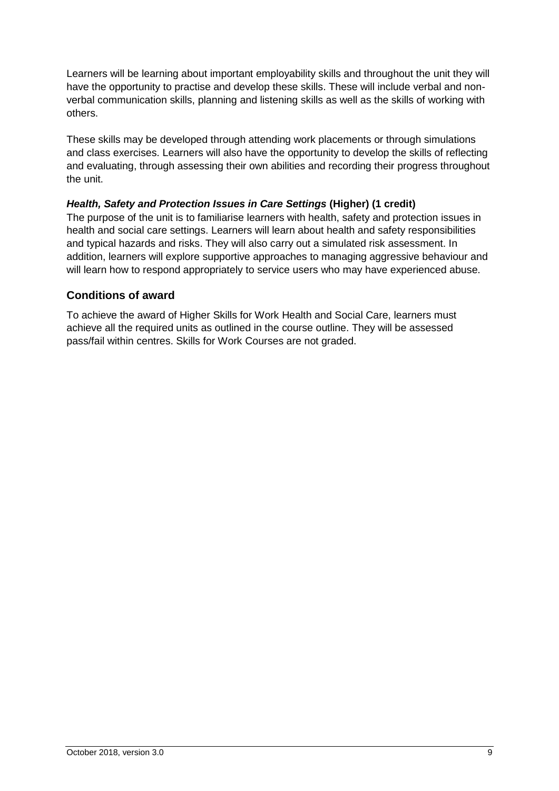Learners will be learning about important employability skills and throughout the unit they will have the opportunity to practise and develop these skills. These will include verbal and nonverbal communication skills, planning and listening skills as well as the skills of working with others.

These skills may be developed through attending work placements or through simulations and class exercises. Learners will also have the opportunity to develop the skills of reflecting and evaluating, through assessing their own abilities and recording their progress throughout the unit.

#### *Health, Safety and Protection Issues in Care Settings* **(Higher) (1 credit)**

The purpose of the unit is to familiarise learners with health, safety and protection issues in health and social care settings. Learners will learn about health and safety responsibilities and typical hazards and risks. They will also carry out a simulated risk assessment. In addition, learners will explore supportive approaches to managing aggressive behaviour and will learn how to respond appropriately to service users who may have experienced abuse.

#### **Conditions of award**

To achieve the award of Higher Skills for Work Health and Social Care, learners must achieve all the required units as outlined in the course outline. They will be assessed pass/fail within centres. Skills for Work Courses are not graded.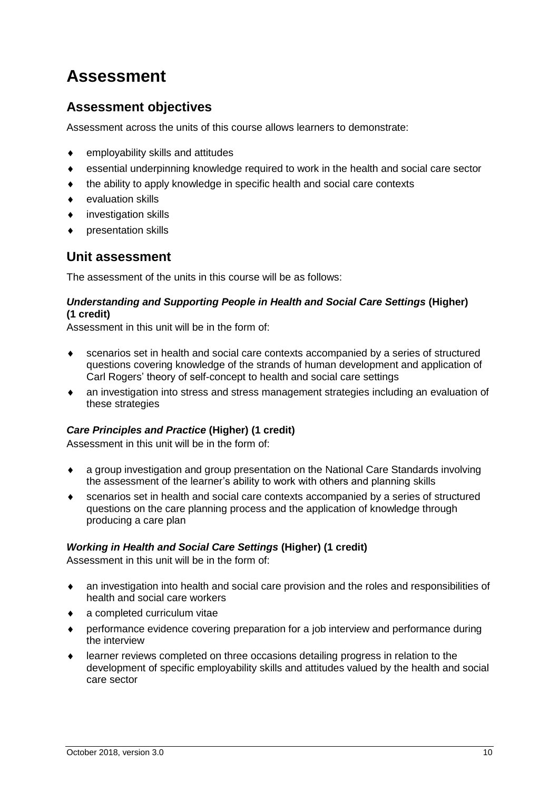## **Assessment**

## **Assessment objectives**

Assessment across the units of this course allows learners to demonstrate:

- ◆ employability skills and attitudes
- essential underpinning knowledge required to work in the health and social care sector
- the ability to apply knowledge in specific health and social care contexts
- evaluation skills
- investigation skills
- presentation skills

### **Unit assessment**

The assessment of the units in this course will be as follows:

#### *Understanding and Supporting People in Health and Social Care Settings* **(Higher) (1 credit)**

Assessment in this unit will be in the form of:

- scenarios set in health and social care contexts accompanied by a series of structured questions covering knowledge of the strands of human development and application of Carl Rogers' theory of self-concept to health and social care settings
- an investigation into stress and stress management strategies including an evaluation of these strategies

#### *Care Principles and Practice* **(Higher) (1 credit)**

Assessment in this unit will be in the form of:

- a group investigation and group presentation on the National Care Standards involving the assessment of the learner's ability to work with others and planning skills
- scenarios set in health and social care contexts accompanied by a series of structured questions on the care planning process and the application of knowledge through producing a care plan

#### *Working in Health and Social Care Settings* **(Higher) (1 credit)**

Assessment in this unit will be in the form of:

- an investigation into health and social care provision and the roles and responsibilities of health and social care workers
- a completed curriculum vitae
- performance evidence covering preparation for a job interview and performance during the interview
- learner reviews completed on three occasions detailing progress in relation to the development of specific employability skills and attitudes valued by the health and social care sector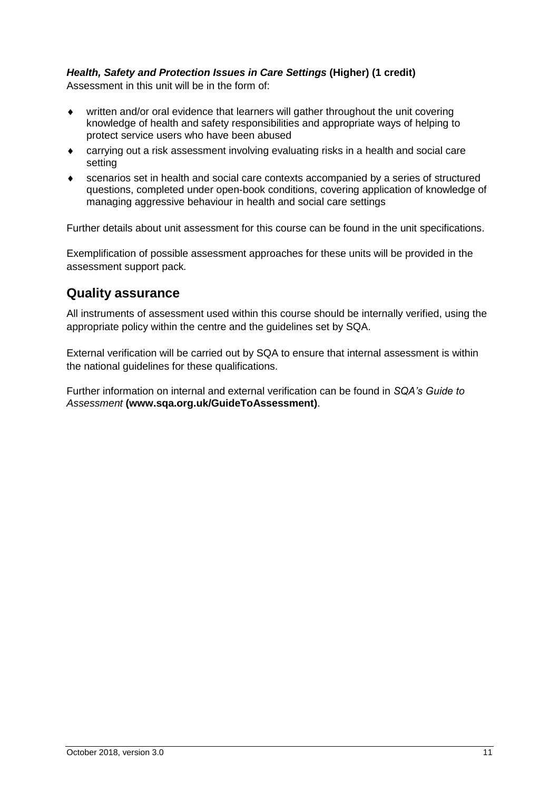#### *Health, Safety and Protection Issues in Care Settings* **(Higher) (1 credit)**

Assessment in this unit will be in the form of:

- written and/or oral evidence that learners will gather throughout the unit covering knowledge of health and safety responsibilities and appropriate ways of helping to protect service users who have been abused
- carrying out a risk assessment involving evaluating risks in a health and social care setting
- scenarios set in health and social care contexts accompanied by a series of structured questions, completed under open-book conditions, covering application of knowledge of managing aggressive behaviour in health and social care settings

Further details about unit assessment for this course can be found in the unit specifications.

Exemplification of possible assessment approaches for these units will be provided in the assessment support pack*.*

#### **Quality assurance**

All instruments of assessment used within this course should be internally verified, using the appropriate policy within the centre and the guidelines set by SQA.

External verification will be carried out by SQA to ensure that internal assessment is within the national guidelines for these qualifications.

Further information on internal and external verification can be found in *SQA's Guide to Assessment* **[\(www.sqa.org.uk/GuideToAssessment\)](http://www.sqa.org.uk/sqa/files_ccc/GuideToAssessment.pdf)**.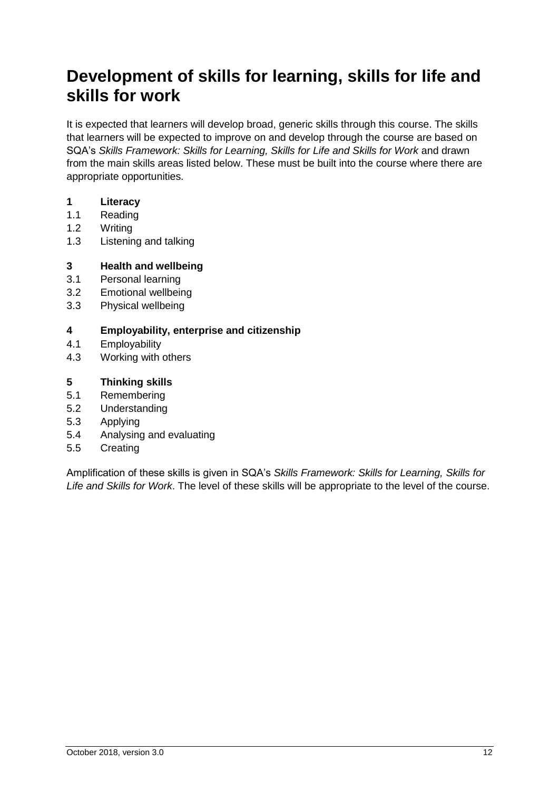## **Development of skills for learning, skills for life and skills for work**

It is expected that learners will develop broad, generic skills through this course. The skills that learners will be expected to improve on and develop through the course are based on SQA's *Skills Framework: Skills for Learning, Skills for Life and Skills for Work* and drawn from the main skills areas listed below. These must be built into the course where there are appropriate opportunities.

#### **1 Literacy**

- 1.1 Reading
- 1.2 Writing
- 1.3 Listening and talking

#### **3 Health and wellbeing**

- 3.1 Personal learning
- 3.2 Emotional wellbeing
- 3.3 Physical wellbeing

#### **4 Employability, enterprise and citizenship**

- 4.1 Employability
- 4.3 Working with others

#### **5 Thinking skills**

- 5.1 Remembering
- 5.2 Understanding
- 5.3 Applying
- 5.4 Analysing and evaluating
- 5.5 Creating

Amplification of these skills is given in SQA's *Skills Framework: Skills for Learning, Skills for Life and Skills for Work*. The level of these skills will be appropriate to the level of the course.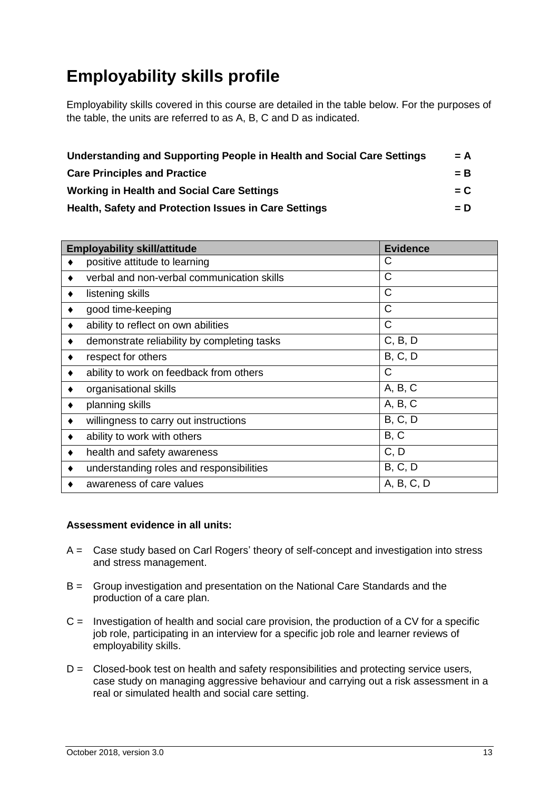## **Employability skills profile**

Employability skills covered in this course are detailed in the table below. For the purposes of the table, the units are referred to as A, B, C and D as indicated.

| Understanding and Supporting People in Health and Social Care Settings | $= A$ |
|------------------------------------------------------------------------|-------|
| <b>Care Principles and Practice</b>                                    | $=$ B |
| <b>Working in Health and Social Care Settings</b>                      | $= C$ |
| <b>Health, Safety and Protection Issues in Care Settings</b>           | $= D$ |

| <b>Employability skill/attitude</b>              | <b>Evidence</b> |
|--------------------------------------------------|-----------------|
| positive attitude to learning                    | C               |
| verbal and non-verbal communication skills       | C               |
| listening skills<br>٠                            | C               |
| good time-keeping<br>٠                           | $\mathsf{C}$    |
| ability to reflect on own abilities              | C               |
| demonstrate reliability by completing tasks<br>٠ | C, B, D         |
| respect for others                               | <b>B, C, D</b>  |
| ability to work on feedback from others          | $\mathsf{C}$    |
| organisational skills<br>٠                       | A, B, C         |
| planning skills                                  | A, B, C         |
| willingness to carry out instructions            | B, C, D         |
| ability to work with others<br>٠                 | B, C            |
| health and safety awareness<br>٠                 | C, D            |
| understanding roles and responsibilities         | B, C, D         |
| awareness of care values                         | A, B, C, D      |

#### **Assessment evidence in all units:**

- A = Case study based on Carl Rogers' theory of self-concept and investigation into stress and stress management.
- B = Group investigation and presentation on the National Care Standards and the production of a care plan.
- $C =$  Investigation of health and social care provision, the production of a CV for a specific job role, participating in an interview for a specific job role and learner reviews of employability skills.
- $D =$  Closed-book test on health and safety responsibilities and protecting service users, case study on managing aggressive behaviour and carrying out a risk assessment in a real or simulated health and social care setting.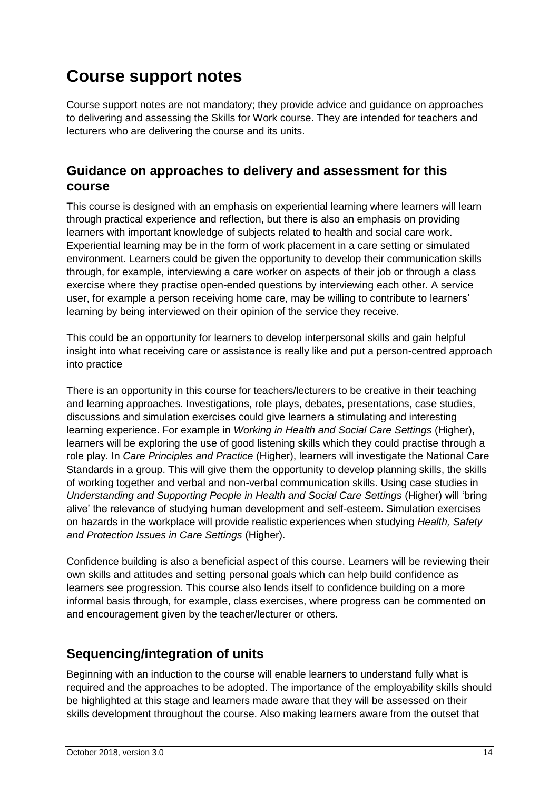## **Course support notes**

Course support notes are not mandatory; they provide advice and guidance on approaches to delivering and assessing the Skills for Work course. They are intended for teachers and lecturers who are delivering the course and its units.

### **Guidance on approaches to delivery and assessment for this course**

This course is designed with an emphasis on experiential learning where learners will learn through practical experience and reflection, but there is also an emphasis on providing learners with important knowledge of subjects related to health and social care work. Experiential learning may be in the form of work placement in a care setting or simulated environment. Learners could be given the opportunity to develop their communication skills through, for example, interviewing a care worker on aspects of their job or through a class exercise where they practise open-ended questions by interviewing each other. A service user, for example a person receiving home care, may be willing to contribute to learners' learning by being interviewed on their opinion of the service they receive.

This could be an opportunity for learners to develop interpersonal skills and gain helpful insight into what receiving care or assistance is really like and put a person-centred approach into practice

There is an opportunity in this course for teachers/lecturers to be creative in their teaching and learning approaches. Investigations, role plays, debates, presentations, case studies, discussions and simulation exercises could give learners a stimulating and interesting learning experience. For example in *Working in Health and Social Care Settings* (Higher), learners will be exploring the use of good listening skills which they could practise through a role play. In *Care Principles and Practice* (Higher), learners will investigate the National Care Standards in a group. This will give them the opportunity to develop planning skills, the skills of working together and verbal and non-verbal communication skills. Using case studies in *Understanding and Supporting People in Health and Social Care Settings* (Higher) will 'bring alive' the relevance of studying human development and self-esteem. Simulation exercises on hazards in the workplace will provide realistic experiences when studying *Health, Safety and Protection Issues in Care Settings* (Higher).

Confidence building is also a beneficial aspect of this course. Learners will be reviewing their own skills and attitudes and setting personal goals which can help build confidence as learners see progression. This course also lends itself to confidence building on a more informal basis through, for example, class exercises, where progress can be commented on and encouragement given by the teacher/lecturer or others.

## **Sequencing/integration of units**

Beginning with an induction to the course will enable learners to understand fully what is required and the approaches to be adopted. The importance of the employability skills should be highlighted at this stage and learners made aware that they will be assessed on their skills development throughout the course. Also making learners aware from the outset that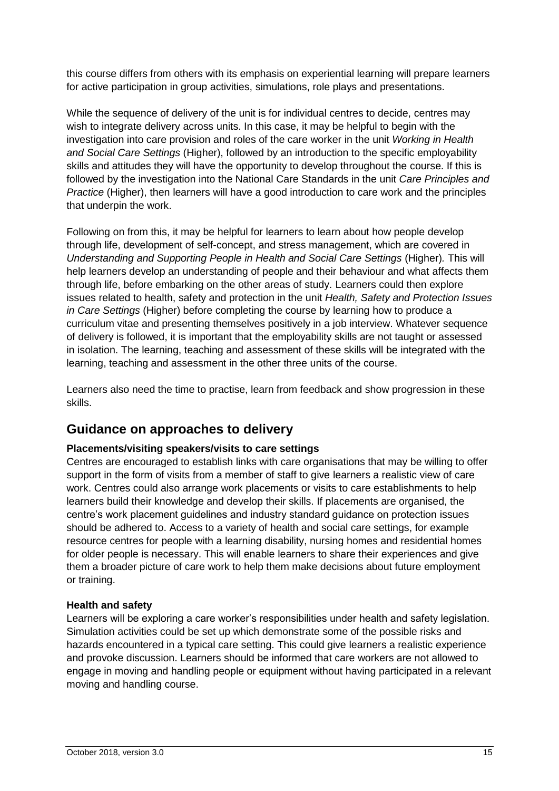this course differs from others with its emphasis on experiential learning will prepare learners for active participation in group activities, simulations, role plays and presentations.

While the sequence of delivery of the unit is for individual centres to decide, centres may wish to integrate delivery across units. In this case, it may be helpful to begin with the investigation into care provision and roles of the care worker in the unit *Working in Health and Social Care Settings* (Higher), followed by an introduction to the specific employability skills and attitudes they will have the opportunity to develop throughout the course. If this is followed by the investigation into the National Care Standards in the unit *Care Principles and Practice* (Higher), then learners will have a good introduction to care work and the principles that underpin the work.

Following on from this, it may be helpful for learners to learn about how people develop through life, development of self-concept, and stress management, which are covered in *Understanding and Supporting People in Health and Social Care Settings (Higher). This will* help learners develop an understanding of people and their behaviour and what affects them through life, before embarking on the other areas of study. Learners could then explore issues related to health, safety and protection in the unit *Health, Safety and Protection Issues in Care Settings* (Higher) before completing the course by learning how to produce a curriculum vitae and presenting themselves positively in a job interview. Whatever sequence of delivery is followed, it is important that the employability skills are not taught or assessed in isolation. The learning, teaching and assessment of these skills will be integrated with the learning, teaching and assessment in the other three units of the course.

Learners also need the time to practise, learn from feedback and show progression in these skills.

### **Guidance on approaches to delivery**

#### **Placements/visiting speakers/visits to care settings**

Centres are encouraged to establish links with care organisations that may be willing to offer support in the form of visits from a member of staff to give learners a realistic view of care work. Centres could also arrange work placements or visits to care establishments to help learners build their knowledge and develop their skills. If placements are organised, the centre's work placement guidelines and industry standard guidance on protection issues should be adhered to. Access to a variety of health and social care settings, for example resource centres for people with a learning disability, nursing homes and residential homes for older people is necessary. This will enable learners to share their experiences and give them a broader picture of care work to help them make decisions about future employment or training.

#### **Health and safety**

Learners will be exploring a care worker's responsibilities under health and safety legislation. Simulation activities could be set up which demonstrate some of the possible risks and hazards encountered in a typical care setting. This could give learners a realistic experience and provoke discussion. Learners should be informed that care workers are not allowed to engage in moving and handling people or equipment without having participated in a relevant moving and handling course.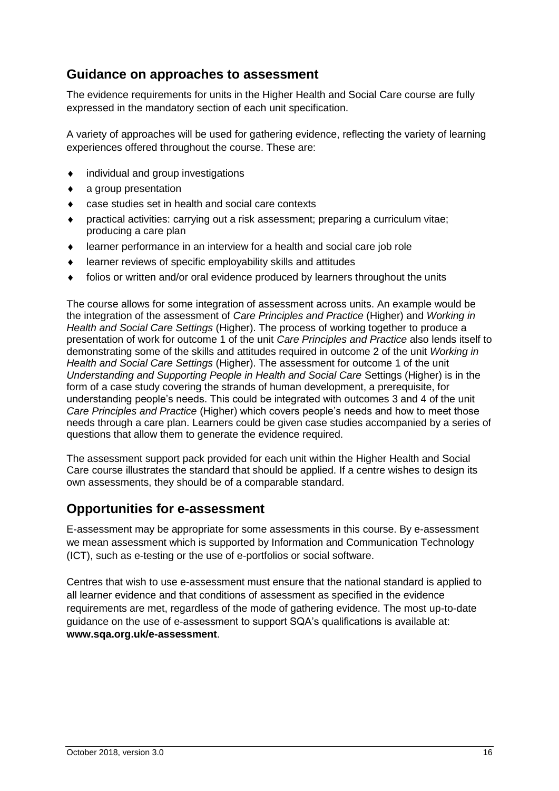## **Guidance on approaches to assessment**

The evidence requirements for units in the Higher Health and Social Care course are fully expressed in the mandatory section of each unit specification.

A variety of approaches will be used for gathering evidence, reflecting the variety of learning experiences offered throughout the course. These are:

- $\bullet$  individual and group investigations
- a group presentation
- case studies set in health and social care contexts
- practical activities: carrying out a risk assessment; preparing a curriculum vitae; producing a care plan
- learner performance in an interview for a health and social care job role
- learner reviews of specific employability skills and attitudes
- folios or written and/or oral evidence produced by learners throughout the units

The course allows for some integration of assessment across units. An example would be the integration of the assessment of *Care Principles and Practice* (Higher) and *Working in Health and Social Care Settings* (Higher). The process of working together to produce a presentation of work for outcome 1 of the unit *Care Principles and Practice* also lends itself to demonstrating some of the skills and attitudes required in outcome 2 of the unit *Working in Health and Social Care Settings* (Higher). The assessment for outcome 1 of the unit *Understanding and Supporting People in Health and Social Care* Settings (Higher) is in the form of a case study covering the strands of human development, a prerequisite, for understanding people's needs. This could be integrated with outcomes 3 and 4 of the unit *Care Principles and Practice* (Higher) which covers people's needs and how to meet those needs through a care plan. Learners could be given case studies accompanied by a series of questions that allow them to generate the evidence required.

The assessment support pack provided for each unit within the Higher Health and Social Care course illustrates the standard that should be applied. If a centre wishes to design its own assessments, they should be of a comparable standard.

### **Opportunities for e-assessment**

E-assessment may be appropriate for some assessments in this course. By e-assessment we mean assessment which is supported by Information and Communication Technology (ICT), such as e-testing or the use of e-portfolios or social software.

Centres that wish to use e-assessment must ensure that the national standard is applied to all learner evidence and that conditions of assessment as specified in the evidence requirements are met, regardless of the mode of gathering evidence. The most up-to-date guidance on the use of e-assessment to support SQA's qualifications is available at: **[www.sqa.org.uk/e-assessment](http://www.sqa.org.uk/e-assessment)**.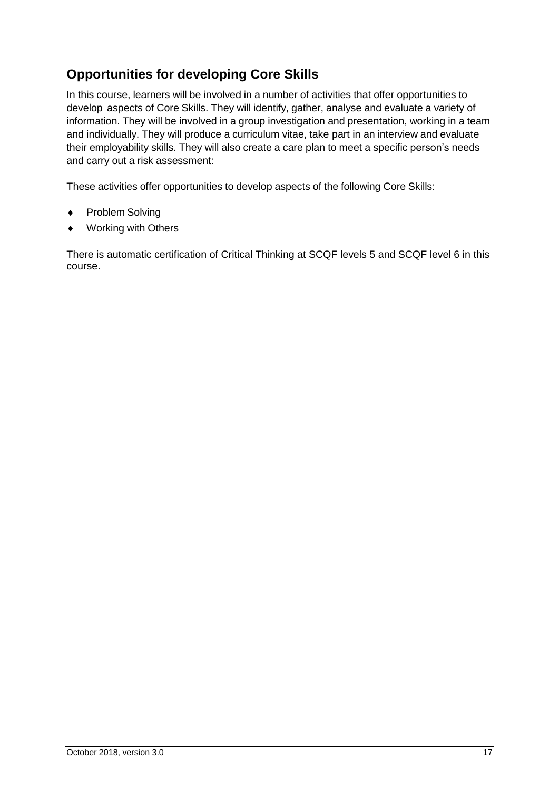## **Opportunities for developing Core Skills**

In this course, learners will be involved in a number of activities that offer opportunities to develop aspects of Core Skills. They will identify, gather, analyse and evaluate a variety of information. They will be involved in a group investigation and presentation, working in a team and individually. They will produce a curriculum vitae, take part in an interview and evaluate their employability skills. They will also create a care plan to meet a specific person's needs and carry out a risk assessment:

These activities offer opportunities to develop aspects of the following Core Skills:

- Problem Solving
- Working with Others

There is automatic certification of Critical Thinking at SCQF levels 5 and SCQF level 6 in this course.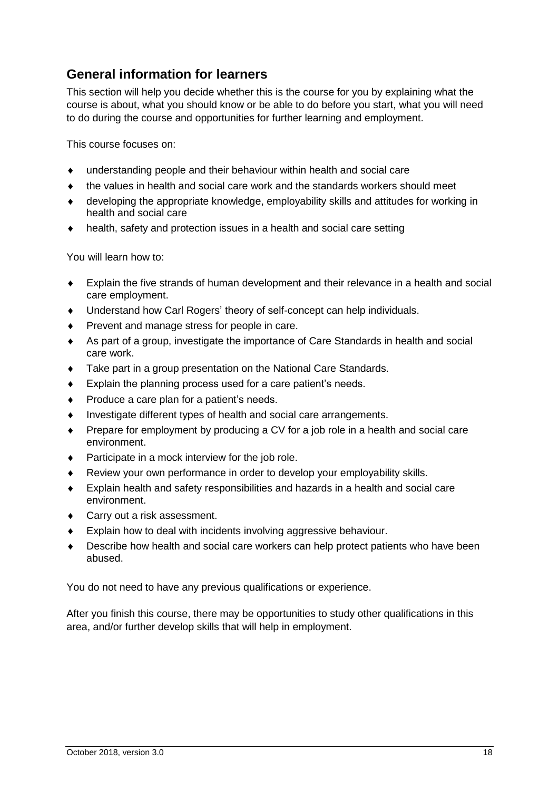## **General information for learners**

This section will help you decide whether this is the course for you by explaining what the course is about, what you should know or be able to do before you start, what you will need to do during the course and opportunities for further learning and employment.

This course focuses on:

- understanding people and their behaviour within health and social care
- the values in health and social care work and the standards workers should meet
- developing the appropriate knowledge, employability skills and attitudes for working in health and social care
- health, safety and protection issues in a health and social care setting

You will learn how to:

- Explain the five strands of human development and their relevance in a health and social care employment.
- Understand how Carl Rogers' theory of self-concept can help individuals.
- Prevent and manage stress for people in care.
- As part of a group, investigate the importance of Care Standards in health and social care work.
- Take part in a group presentation on the National Care Standards.
- Explain the planning process used for a care patient's needs.
- Produce a care plan for a patient's needs.
- Investigate different types of health and social care arrangements.
- Prepare for employment by producing a CV for a job role in a health and social care environment.
- ◆ Participate in a mock interview for the job role.
- Review your own performance in order to develop your employability skills.
- Explain health and safety responsibilities and hazards in a health and social care environment.
- ◆ Carry out a risk assessment.
- Explain how to deal with incidents involving aggressive behaviour.
- Describe how health and social care workers can help protect patients who have been abused.

You do not need to have any previous qualifications or experience.

After you finish this course, there may be opportunities to study other qualifications in this area, and/or further develop skills that will help in employment.